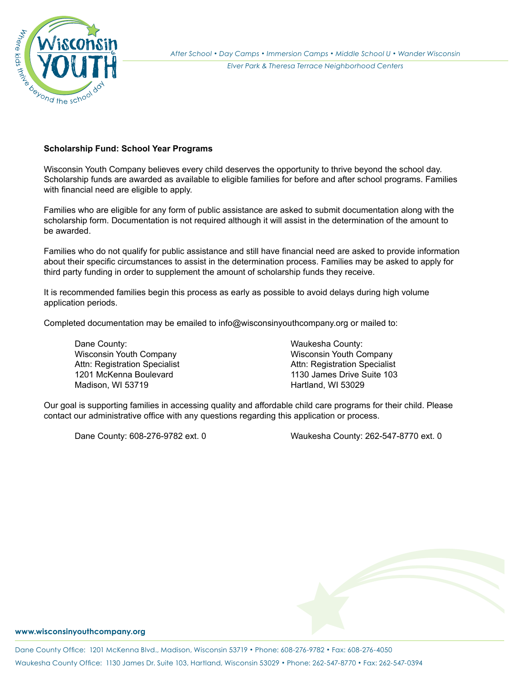

## **Scholarship Fund: School Year Programs**

Wisconsin Youth Company believes every child deserves the opportunity to thrive beyond the school day. Scholarship funds are awarded as available to eligible families for before and after school programs. Families with financial need are eligible to apply.

Families who are eligible for any form of public assistance are asked to submit documentation along with the scholarship form. Documentation is not required although it will assist in the determination of the amount to be awarded.

Families who do not qualify for public assistance and still have financial need are asked to provide information about their specific circumstances to assist in the determination process. Families may be asked to apply for third party funding in order to supplement the amount of scholarship funds they receive.

It is recommended families begin this process as early as possible to avoid delays during high volume application periods.

Completed documentation may be emailed to info@wisconsinyouthcompany.org or mailed to:

Dane County: Waukesha County: Wisconsin Youth Company Madison, WI 53719 **Hartland, WI 53029** 

Attn: Registration Specialist Attn: Registration Specialist 1201 McKenna Boulevard 1130 James Drive Suite 103

Our goal is supporting families in accessing quality and affordable child care programs for their child. Please contact our administrative office with any questions regarding this application or process.

Dane County: 608-276-9782 ext. 0 Waukesha County: 262-547-8770 ext. 0

## **www.wisconsinyouthcompany.org**

Dane County Office: 1201 McKenna Blvd., Madison, Wisconsin 53719 *•* Phone: 608-276-9782 *•* Fax: 608-276-4050 Waukesha County Office: 1130 James Dr. Suite 103, Hartland, Wisconsin 53029 *•* Phone: 262-547-8770 *•* Fax: 262-547-0394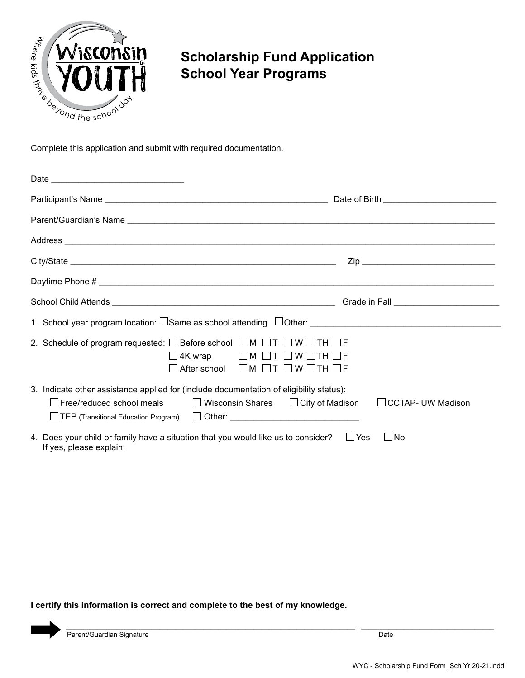

## **Scholarship Fund Application School Year Programs**

| Address experimental and the contract of the contract of the contract of the contract of the contract of the contract of the contract of the contract of the contract of the contract of the contract of the contract of the c                                        |     |
|-----------------------------------------------------------------------------------------------------------------------------------------------------------------------------------------------------------------------------------------------------------------------|-----|
|                                                                                                                                                                                                                                                                       |     |
|                                                                                                                                                                                                                                                                       |     |
|                                                                                                                                                                                                                                                                       |     |
|                                                                                                                                                                                                                                                                       |     |
| 2. Schedule of program requested: $\square$ Before school $\square$ M $\square$ T $\square$ W $\square$ TH $\square$ F<br>$\Box$ 4K wrap $\Box$ M $\Box$ T $\Box$ W $\Box$ TH $\Box$ F<br>After school $\Box M \Box T \Box W \Box TH \Box F$                          |     |
| 3. Indicate other assistance applied for (include documentation of eligibility status):<br>□ Free/reduced school meals    □ Wisconsin Shares □ City of Madison □ CCTAP- UW Madison<br>□ TEP (Transitional Education Program) □ Other: _______________________________ |     |
| 4. Does your child or family have a situation that you would like us to consider? $\square$ Yes<br>If yes, please explain:                                                                                                                                            | INo |

**I certify this information is correct and complete to the best of my knowledge.** 

\_\_\_\_\_\_\_\_\_\_\_\_\_\_\_\_\_\_\_\_\_\_\_\_\_\_\_\_\_\_\_\_\_\_\_\_\_\_\_\_\_\_\_\_\_\_\_\_\_\_\_\_\_\_\_\_\_\_\_\_\_\_\_\_\_\_\_\_\_\_\_\_\_\_ \_\_\_\_\_\_\_\_\_\_\_\_\_\_\_\_\_\_\_\_\_\_\_\_\_\_\_\_\_\_\_\_\_\_